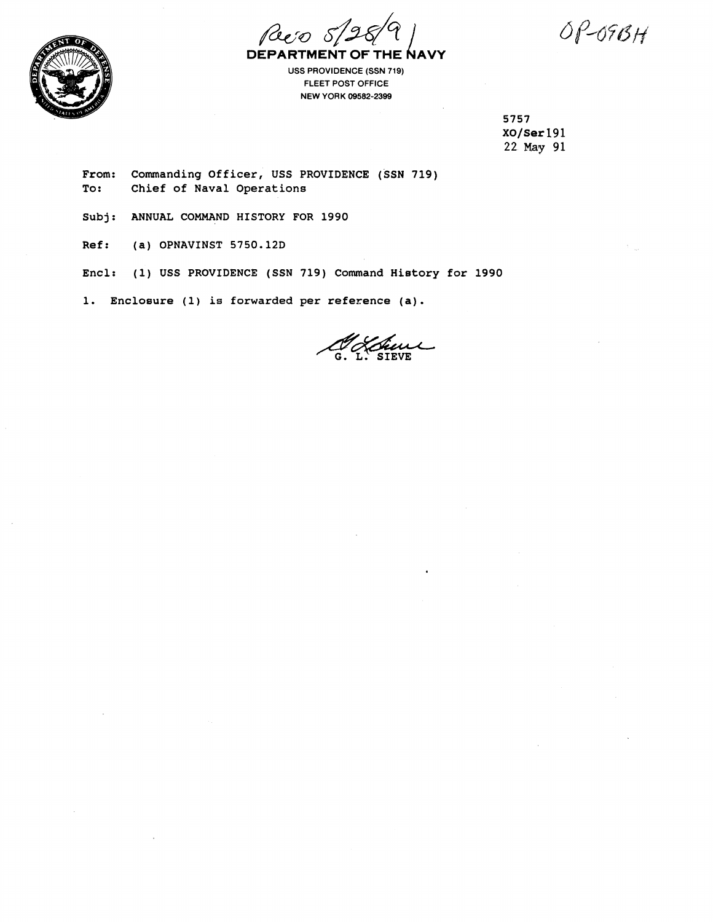Reco DEPARTMENT OF THE NAVY

 $OP-09BH$ 



**USS PROVIDENCE (SSN 719) FLEET POST OFFICE NEW YORK 09582-2399** 

> **5757 XO/Ser 191 22 May 91**

**From: Commanding Officer, USS PROVIDENCE (SSN 719) To: Chief of Naval Operations** 

**Subj: ANNUAL COMMAND HISTORY FOR 1990** 

**Ref: (a) OPNAVINST 5750.12D** 

**Encl: (1) USS PROVIDENCE (SSN 719) Command History for 1990** 

**1. Enclosure (1) is forwarded per reference (a).**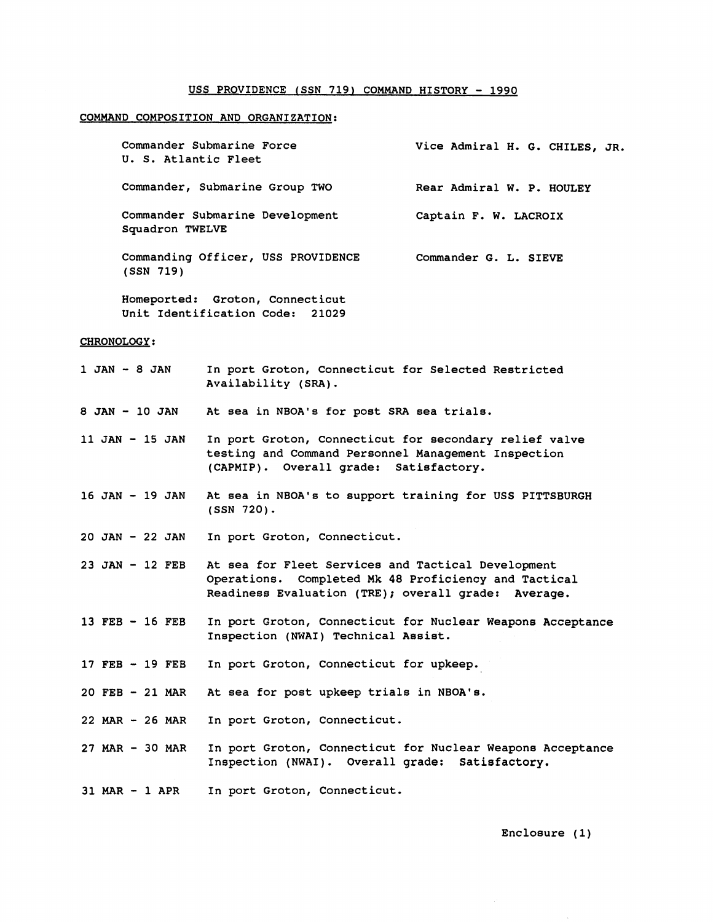## **USS PROVIDENCE fSSN 719) COMMAND HISTORY** - **<sup>1990</sup>**

## **COMMAND COMPOSITION AND ORGANIZATION:**

| Commander Submarine Force<br>U. S. Atlantic Fleet  | Vice Admiral H. G. CHILES, JR. |
|----------------------------------------------------|--------------------------------|
| Commander, Submarine Group TWO                     | Rear Admiral W. P. HOULEY      |
| Commander Submarine Development<br>Squadron TWELVE | Captain F. W. LACROIX          |
| Commanding Officer, USS PROVIDENCE<br>(SSN 719)    | Commander G. L. SIEVE          |

**Homeported: Groton, Connecticut Unit Identification Code: 21029** 

## **CHRONOLOGY:**

**1 JAN** - **8 JAN In port Groton, Connecticut for Selected Restricted Availability (SRA).** 

**8 JAN** - **10 JAN At sea in NBOA's for post SRA sea trials.** 

**11 JAN** - **15 JAN In port Groton, Connecticut for secondary relief valve testing and Command Personnel Management Inspection (CAPMIP). Overall grade: Satisfactory.** 

- **16 JAN 19 JAN At sea in NBOA's to support training for USS PITTSBURGH (SSN 720).**
- **20 JAN 22 JAN In port Groton, Connecticut.**
- **23 JAN 12 FEB At sea for Fleet Services and Tactical Development Operations. Completed Mk 48 Proficiency and Tactical Readiness Evaluation (TRE); overall grade: Average.**
- **13 FEB 16 FEB In port Groton, Connecticut for Nuclear Weapons Acceptance Inspection (NWAI) Technical Assist.**
- **17 FEB 19 FEB In port Groton, Connecticut for upkeep.**

**20 FEB** - **21 MAR At sea for post upkeep trials in NBOA's.** 

- **22 MAR 26 MAR In port Groton, Connecticut.**
- **27 MAR 30 MAR In port Groton, Connecticut for Nuclear Weapons Acceptance Inspection (NWAI). Overall grade: Satisfactory.**

**31 MAR** - **1 APR In port Groton, Connecticut.**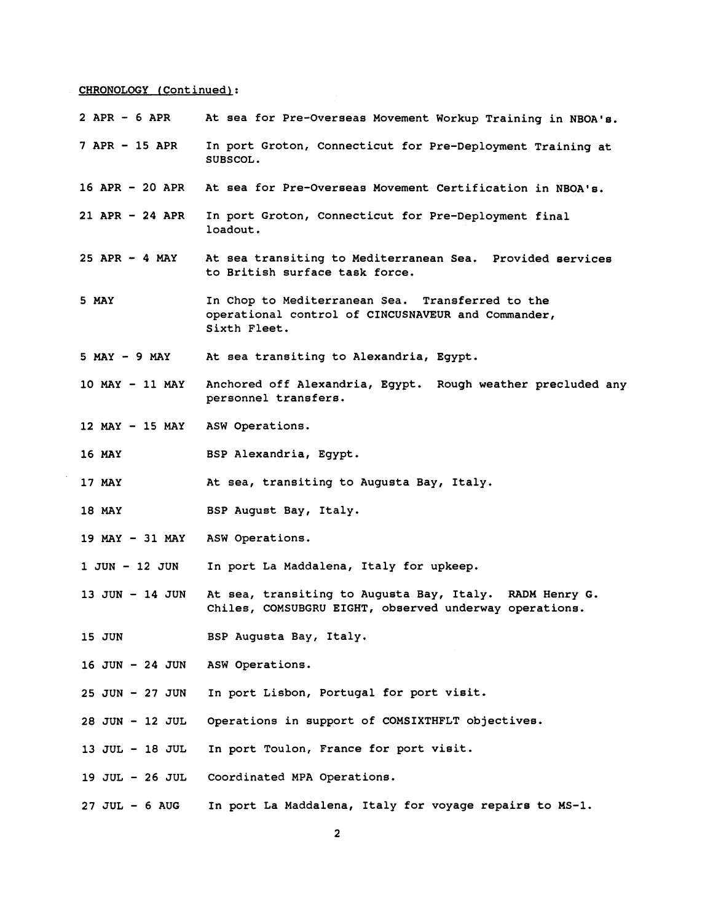## **CHRONOLOGY (Continued):**

| $2$ APR $-6$ APR                | At sea for Pre-Overseas Movement Workup Training in NBOA's.                                                            |  |
|---------------------------------|------------------------------------------------------------------------------------------------------------------------|--|
| $7$ APR $-$ 15 APR              | In port Groton, Connecticut for Pre-Deployment Training at<br>SUBSCOL.                                                 |  |
| 16 APR - 20 APR                 | At sea for Pre-Overseas Movement Certification in NBOA's.                                                              |  |
| $21$ APR - 24 APR               | In port Groton, Connecticut for Pre-Deployment final<br>loadout.                                                       |  |
| $25$ APR $-4$ MAY               | At sea transiting to Mediterranean Sea. Provided services<br>to British surface task force.                            |  |
| 5 MAY                           | In Chop to Mediterranean Sea. Transferred to the<br>operational control of CINCUSNAVEUR and Commander,<br>Sixth Fleet. |  |
| $5$ MAY $-$ 9 MAY               | At sea transiting to Alexandria, Egypt.                                                                                |  |
| 10 MAY - 11 MAY                 | Anchored off Alexandria, Egypt. Rough weather precluded any<br>personnel transfers.                                    |  |
| 12 MAY - 15 MAY ASW Operations. |                                                                                                                        |  |
| <b>16 MAY</b>                   | BSP Alexandria, Egypt.                                                                                                 |  |
| 17 MAY                          | At sea, transiting to Augusta Bay, Italy.                                                                              |  |
| <b>18 MAY</b>                   | BSP August Bay, Italy.                                                                                                 |  |
| 19 MAY - 31 MAY ASW Operations. |                                                                                                                        |  |
| 1 JUN - 12 JUN                  | In port La Maddalena, Italy for upkeep.                                                                                |  |
| $13$ JUN $-$ 14 JUN             | At sea, transiting to Augusta Bay, Italy. RADM Henry G.<br>Chiles, COMSUBGRU EIGHT, observed underway operations.      |  |
| 15 JUN                          | BSP Augusta Bay, Italy.                                                                                                |  |
| 16 JUN - 24 JUN                 | ASW Operations.                                                                                                        |  |
| $25$ JUN - $27$ JUN             | In port Lisbon, Portugal for port visit.                                                                               |  |
| 28 JUN - 12 JUL                 | Operations in support of COMSIXTHFLT objectives.                                                                       |  |
| 13 JUL - 18 JUL                 | In port Toulon, France for port visit.                                                                                 |  |
| 19 JUL - 26 JUL                 | Coordinated MPA Operations.                                                                                            |  |
| $27$ JUL $-6$ AUG               | In port La Maddalena, Italy for voyage repairs to MS-1.                                                                |  |
| $\overline{\mathbf{2}}$         |                                                                                                                        |  |